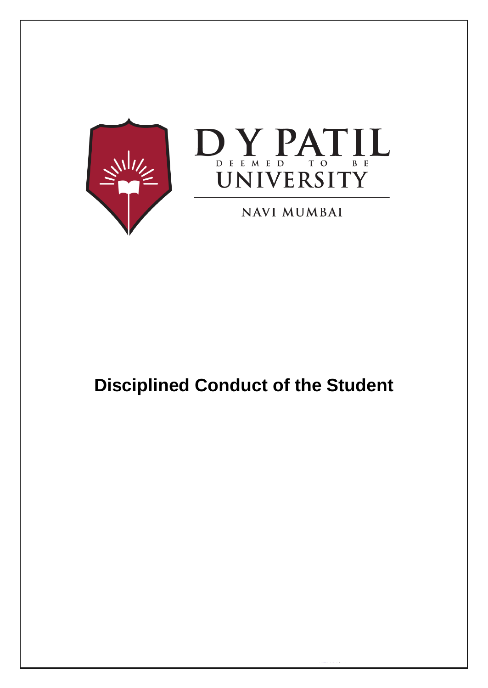



**NAVI MUMBAI** 

# **Disciplined Conduct of the Student**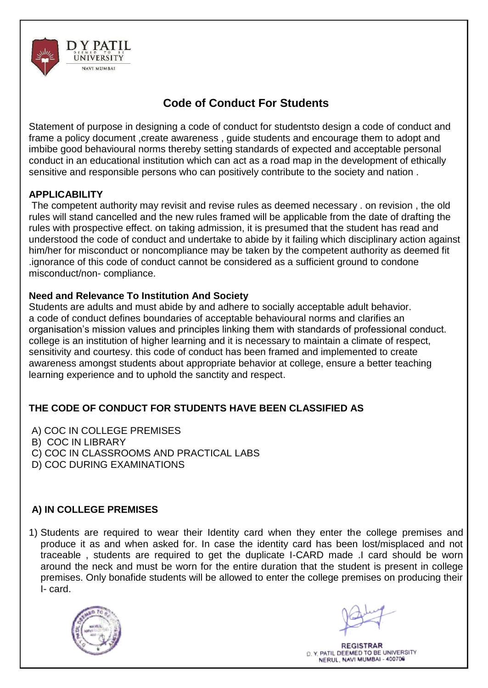

## **Code of Conduct For Students**

Statement of purpose in designing a code of conduct for studentsto design a code of conduct and frame a policy document ,create awareness , guide students and encourage them to adopt and imbibe good behavioural norms thereby setting standards of expected and acceptable personal conduct in an educational institution which can act as a road map in the development of ethically sensitive and responsible persons who can positively contribute to the society and nation .

#### **APPLICABILITY**

The competent authority may revisit and revise rules as deemed necessary . on revision , the old rules will stand cancelled and the new rules framed will be applicable from the date of drafting the rules with prospective effect. on taking admission, it is presumed that the student has read and understood the code of conduct and undertake to abide by it failing which disciplinary action against him/her for misconduct or noncompliance may be taken by the competent authority as deemed fit .ignorance of this code of conduct cannot be considered as a sufficient ground to condone misconduct/non- compliance.

#### **Need and Relevance To Institution And Society**

Students are adults and must abide by and adhere to socially acceptable adult behavior. a code of conduct defines boundaries of acceptable behavioural norms and clarifies an organisation's mission values and principles linking them with standards of professional conduct. college is an institution of higher learning and it is necessary to maintain a climate of respect, sensitivity and courtesy. this code of conduct has been framed and implemented to create awareness amongst students about appropriate behavior at college, ensure a better teaching learning experience and to uphold the sanctity and respect.

## **THE CODE OF CONDUCT FOR STUDENTS HAVE BEEN CLASSIFIED AS**

A) COC IN COLLEGE PREMISES

B) COC IN LIBRARY

- C) COC IN CLASSROOMS AND PRACTICAL LABS
- D) COC DURING EXAMINATIONS

## **A) IN COLLEGE PREMISES**

1) Students are required to wear their Identity card when they enter the college premises and produce it as and when asked for. In case the identity card has been lost/misplaced and not traceable , students are required to get the duplicate I-CARD made .I card should be worn around the neck and must be worn for the entire duration that the student is present in college premises. Only bonafide students will be allowed to enter the college premises on producing their I- card.

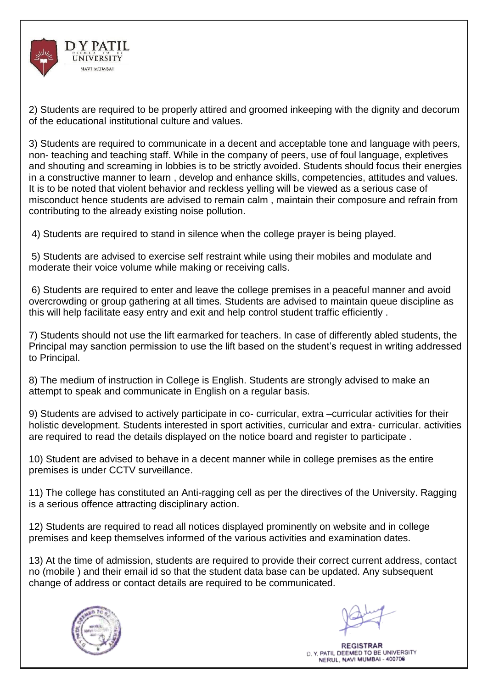

2) Students are required to be properly attired and groomed inkeeping with the dignity and decorum of the educational institutional culture and values.

3) Students are required to communicate in a decent and acceptable tone and language with peers, non- teaching and teaching staff. While in the company of peers, use of foul language, expletives and shouting and screaming in lobbies is to be strictly avoided. Students should focus their energies in a constructive manner to learn , develop and enhance skills, competencies, attitudes and values. It is to be noted that violent behavior and reckless yelling will be viewed as a serious case of misconduct hence students are advised to remain calm , maintain their composure and refrain from contributing to the already existing noise pollution.

4) Students are required to stand in silence when the college prayer is being played.

5) Students are advised to exercise self restraint while using their mobiles and modulate and moderate their voice volume while making or receiving calls.

6) Students are required to enter and leave the college premises in a peaceful manner and avoid overcrowding or group gathering at all times. Students are advised to maintain queue discipline as this will help facilitate easy entry and exit and help control student traffic efficiently .

7) Students should not use the lift earmarked for teachers. In case of differently abled students, the Principal may sanction permission to use the lift based on the student's request in writing addressed to Principal.

8) The medium of instruction in College is English. Students are strongly advised to make an attempt to speak and communicate in English on a regular basis.

9) Students are advised to actively participate in co- curricular, extra –curricular activities for their holistic development. Students interested in sport activities, curricular and extra- curricular. activities are required to read the details displayed on the notice board and register to participate .

10) Student are advised to behave in a decent manner while in college premises as the entire premises is under CCTV surveillance.

11) The college has constituted an Anti-ragging cell as per the directives of the University. Ragging is a serious offence attracting disciplinary action.

12) Students are required to read all notices displayed prominently on website and in college premises and keep themselves informed of the various activities and examination dates.

13) At the time of admission, students are required to provide their correct current address, contact no (mobile ) and their email id so that the student data base can be updated. Any subsequent change of address or contact details are required to be communicated.

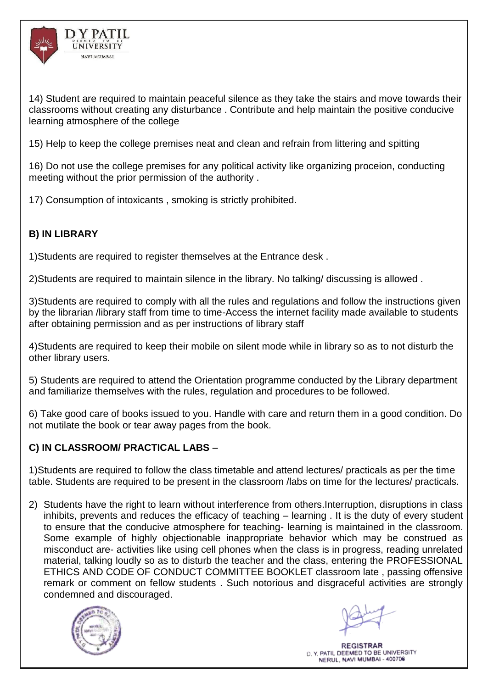

14) Student are required to maintain peaceful silence as they take the stairs and move towards their classrooms without creating any disturbance . Contribute and help maintain the positive conducive learning atmosphere of the college

15) Help to keep the college premises neat and clean and refrain from littering and spitting

16) Do not use the college premises for any political activity like organizing proceion, conducting meeting without the prior permission of the authority .

17) Consumption of intoxicants , smoking is strictly prohibited.

## **B) IN LIBRARY**

1)Students are required to register themselves at the Entrance desk .

2)Students are required to maintain silence in the library. No talking/ discussing is allowed .

3)Students are required to comply with all the rules and regulations and follow the instructions given by the librarian /library staff from time to time-Access the internet facility made available to students after obtaining permission and as per instructions of library staff

4)Students are required to keep their mobile on silent mode while in library so as to not disturb the other library users.

5) Students are required to attend the Orientation programme conducted by the Library department and familiarize themselves with the rules, regulation and procedures to be followed.

6) Take good care of books issued to you. Handle with care and return them in a good condition. Do not mutilate the book or tear away pages from the book.

## **C) IN CLASSROOM/ PRACTICAL LABS** –

1)Students are required to follow the class timetable and attend lectures/ practicals as per the time table. Students are required to be present in the classroom /labs on time for the lectures/ practicals.

2) Students have the right to learn without interference from others.Interruption, disruptions in class inhibits, prevents and reduces the efficacy of teaching – learning . It is the duty of every student to ensure that the conducive atmosphere for teaching- learning is maintained in the classroom. Some example of highly objectionable inappropriate behavior which may be construed as misconduct are- activities like using cell phones when the class is in progress, reading unrelated material, talking loudly so as to disturb the teacher and the class, entering the PROFESSIONAL ETHICS AND CODE OF CONDUCT COMMITTEE BOOKLET classroom late , passing offensive remark or comment on fellow students . Such notorious and disgraceful activities are strongly condemned and discouraged.

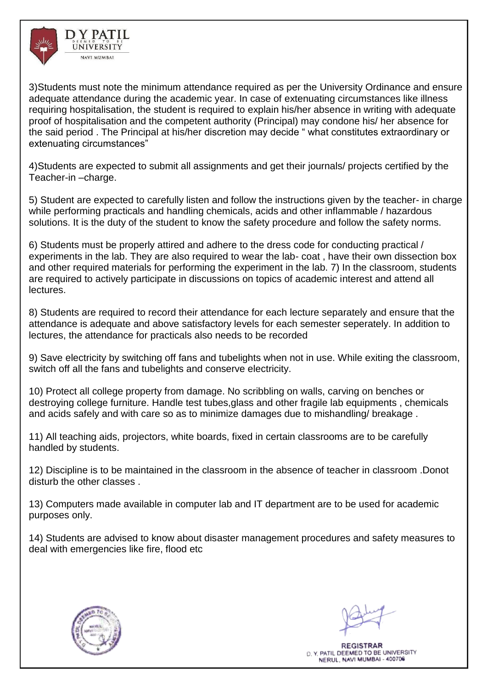

3)Students must note the minimum attendance required as per the University Ordinance and ensure adequate attendance during the academic year. In case of extenuating circumstances like illness requiring hospitalisation, the student is required to explain his/her absence in writing with adequate proof of hospitalisation and the competent authority (Principal) may condone his/ her absence for the said period . The Principal at his/her discretion may decide " what constitutes extraordinary or extenuating circumstances"

4)Students are expected to submit all assignments and get their journals/ projects certified by the Teacher-in –charge.

5) Student are expected to carefully listen and follow the instructions given by the teacher- in charge while performing practicals and handling chemicals, acids and other inflammable / hazardous solutions. It is the duty of the student to know the safety procedure and follow the safety norms.

6) Students must be properly attired and adhere to the dress code for conducting practical / experiments in the lab. They are also required to wear the lab- coat , have their own dissection box and other required materials for performing the experiment in the lab. 7) In the classroom, students are required to actively participate in discussions on topics of academic interest and attend all lectures.

8) Students are required to record their attendance for each lecture separately and ensure that the attendance is adequate and above satisfactory levels for each semester seperately. In addition to lectures, the attendance for practicals also needs to be recorded

9) Save electricity by switching off fans and tubelights when not in use. While exiting the classroom, switch off all the fans and tubelights and conserve electricity.

10) Protect all college property from damage. No scribbling on walls, carving on benches or destroying college furniture. Handle test tubes,glass and other fragile lab equipments , chemicals and acids safely and with care so as to minimize damages due to mishandling/ breakage .

11) All teaching aids, projectors, white boards, fixed in certain classrooms are to be carefully handled by students.

12) Discipline is to be maintained in the classroom in the absence of teacher in classroom .Donot disturb the other classes .

13) Computers made available in computer lab and IT department are to be used for academic purposes only.

14) Students are advised to know about disaster management procedures and safety measures to deal with emergencies like fire, flood etc

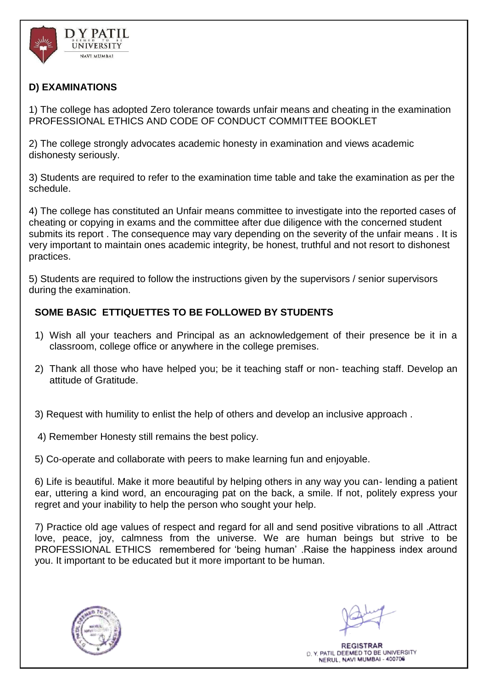

## **D) EXAMINATIONS**

1) The college has adopted Zero tolerance towards unfair means and cheating in the examination PROFESSIONAL ETHICS AND CODE OF CONDUCT COMMITTEE BOOKLET

2) The college strongly advocates academic honesty in examination and views academic dishonesty seriously.

3) Students are required to refer to the examination time table and take the examination as per the schedule.

4) The college has constituted an Unfair means committee to investigate into the reported cases of cheating or copying in exams and the committee after due diligence with the concerned student submits its report . The consequence may vary depending on the severity of the unfair means . It is very important to maintain ones academic integrity, be honest, truthful and not resort to dishonest practices.

5) Students are required to follow the instructions given by the supervisors / senior supervisors during the examination.

## **SOME BASIC ETTIQUETTES TO BE FOLLOWED BY STUDENTS**

- 1) Wish all your teachers and Principal as an acknowledgement of their presence be it in a classroom, college office or anywhere in the college premises.
- 2) Thank all those who have helped you; be it teaching staff or non- teaching staff. Develop an attitude of Gratitude.
- 3) Request with humility to enlist the help of others and develop an inclusive approach .
- 4) Remember Honesty still remains the best policy.
- 5) Co-operate and collaborate with peers to make learning fun and enjoyable.

6) Life is beautiful. Make it more beautiful by helping others in any way you can- lending a patient ear, uttering a kind word, an encouraging pat on the back, a smile. If not, politely express your regret and your inability to help the person who sought your help.

7) Practice old age values of respect and regard for all and send positive vibrations to all .Attract love, peace, joy, calmness from the universe. We are human beings but strive to be PROFESSIONAL ETHICS remembered for 'being human' .Raise the happiness index around you. It important to be educated but it more important to be human.